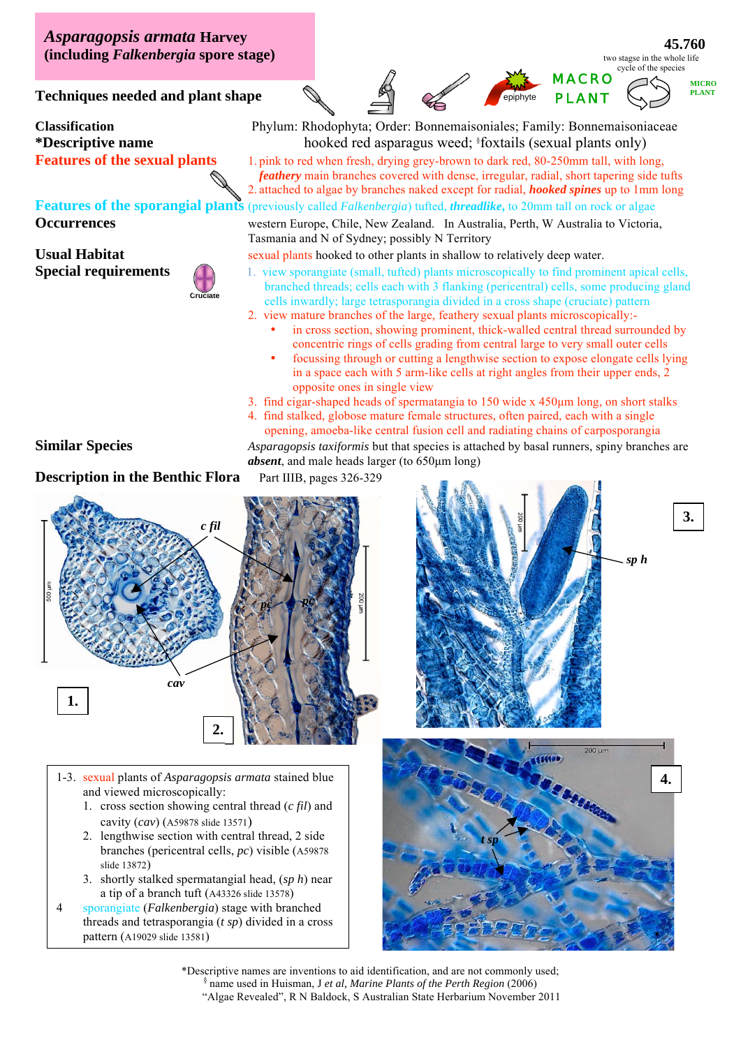*Asparagopsis armata* **Harvey (including** *Falkenbergia* **spore stage)** 

**45.760**  two stagse in the whole life cycle of the species

MACRO



**Techniques needed and plant shape** 

**Features of the sporangial plants** (previously called *Falkenbergia*) tufted, *threadlike***,** to 20mm tall on rock or algae



**Classification** Phylum: Rhodophyta; Order: Bonnemaisoniales; Family: Bonnemaisoniaceae **\*Descriptive name** hooked red asparagus weed; § foxtails (sexual plants only)

**Features of the sexual plants** 1. pink to red when fresh, drying grey-brown to dark red, 80-250mm tall, with long, *feathery* main branches covered with dense, irregular, radial, short tapering side tufts 2. attached to algae by branches naked except for radial, *hooked spines* up to 1mm long

**Occurrences** western Europe, Chile, New Zealand. In Australia, Perth, W Australia to Victoria, Tasmania and N of Sydney; possibly N Territory

**Usual Habitat** sexual plants hooked to other plants in shallow to relatively deep water.

- **Special requirements** 1. view sporangiate (small, tufted) plants microscopically to find prominent apical cells, branched threads; cells each with 3 flanking (pericentral) cells, some producing gland cells inwardly; large tetrasporangia divided in a cross shape (cruciate) pattern
	- 2. view mature branches of the large, feathery sexual plants microscopically:
		- in cross section, showing prominent, thick-walled central thread surrounded by concentric rings of cells grading from central large to very small outer cells
		- focussing through or cutting a lengthwise section to expose elongate cells lying in a space each with 5 arm-like cells at right angles from their upper ends, 2 opposite ones in single view

3. find cigar-shaped heads of spermatangia to 150 wide x 450μm long, on short stalks

4. find stalked, globose mature female structures, often paired, each with a single opening, amoeba-like central fusion cell and radiating chains of carposporangia **Similar Species** *Asparagopsis taxiformis* but that species is attached by basal runners, spiny branches are

*absent*, and male heads larger (to 650μm long)

## **Description in the Benthic Flora** Part IIIB, pages 326-329



1-3. sexual plants of *Asparagopsis armata* stained blue and viewed microscopically:

- 1. cross section showing central thread (*c fil*) and cavity (*cav*) (A59878 slide 13571)
- 2. lengthwise section with central thread, 2 side branches (pericentral cells, *pc*) visible (A59878 slide 13872)
- *ca sp* a tip of a branch tuft (A43326 slide 13578) 3. shortly stalked spermatangial head, (*sp h*) near

4 sporangiate (*Falkenbergia*) stage with branched threads and tetrasporangia (*t sp*) divided in a cross pattern (A19029 slide 13581)





\*Descriptive names are inventions to aid identification, and are not commonly used; § name used in Huisman, J *et al, Marine Plants of the Perth Region* (2006) "Algae Revealed", R N Baldock, S Australian State Herbarium November 2011